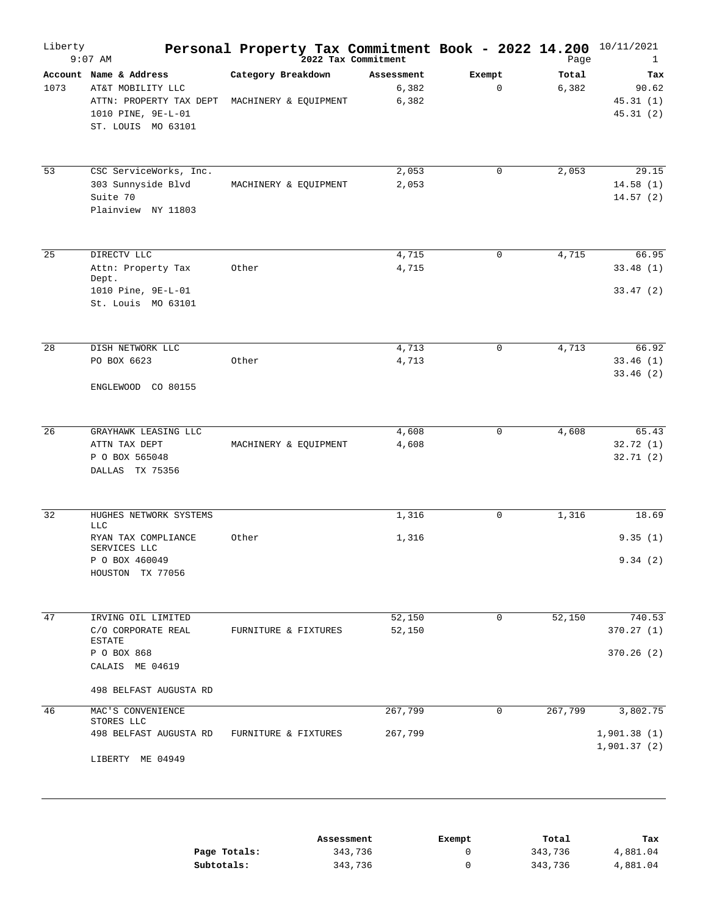| Liberty | $9:07$ AM                                                                                                          | Personal Property Tax Commitment Book - 2022 14.200<br>2022 Tax Commitment |                              |                       | Page           | 10/11/2021<br>$\mathbf{1}$             |
|---------|--------------------------------------------------------------------------------------------------------------------|----------------------------------------------------------------------------|------------------------------|-----------------------|----------------|----------------------------------------|
| 1073    | Account Name & Address<br>AT&T MOBILITY LLC<br>ATTN: PROPERTY TAX DEPT<br>1010 PINE, 9E-L-01<br>ST. LOUIS MO 63101 | Category Breakdown<br>MACHINERY & EQUIPMENT                                | Assessment<br>6,382<br>6,382 | Exempt<br>$\mathbf 0$ | Total<br>6,382 | Tax<br>90.62<br>45.31(1)<br>45.31(2)   |
| 53      | CSC ServiceWorks, Inc.<br>303 Sunnyside Blvd<br>Suite 70<br>Plainview NY 11803                                     | MACHINERY & EQUIPMENT                                                      | 2,053<br>2,053               | $\mathbf 0$           | 2,053          | 29.15<br>14.58(1)<br>14.57(2)          |
| 25      | DIRECTV LLC<br>Attn: Property Tax<br>Dept.<br>1010 Pine, 9E-L-01<br>St. Louis MO 63101                             | Other                                                                      | 4,715<br>4,715               | $\mathbf 0$           | 4,715          | 66.95<br>33.48(1)<br>33.47(2)          |
| 28      | DISH NETWORK LLC<br>PO BOX 6623<br>ENGLEWOOD CO 80155                                                              | Other                                                                      | 4,713<br>4,713               | $\mathbf 0$           | 4,713          | 66.92<br>33.46(1)<br>33.46(2)          |
| 26      | GRAYHAWK LEASING LLC<br>ATTN TAX DEPT<br>P O BOX 565048<br>DALLAS TX 75356                                         | MACHINERY & EQUIPMENT                                                      | 4,608<br>4,608               | $\mathbf 0$           | 4,608          | 65.43<br>32.72(1)<br>32.71(2)          |
| 32      | HUGHES NETWORK SYSTEMS<br><b>LLC</b><br>RYAN TAX COMPLIANCE<br>SERVICES LLC<br>P O BOX 460049<br>HOUSTON TX 77056  | Other                                                                      | 1,316<br>1,316               | $\mathbf 0$           | 1,316          | 18.69<br>9.35(1)<br>9.34(2)            |
| 47      | IRVING OIL LIMITED<br>C/O CORPORATE REAL<br><b>ESTATE</b><br>P O BOX 868<br>CALAIS ME 04619                        | FURNITURE & FIXTURES                                                       | 52,150<br>52,150             | $\mathbf 0$           | 52,150         | 740.53<br>370.27(1)<br>370.26(2)       |
| 46      | 498 BELFAST AUGUSTA RD<br>MAC'S CONVENIENCE<br>STORES LLC<br>498 BELFAST AUGUSTA RD<br>LIBERTY ME 04949            | FURNITURE & FIXTURES                                                       | 267,799<br>267,799           | 0                     | 267,799        | 3,802.75<br>1,901.38(1)<br>1,901.37(2) |
|         |                                                                                                                    | Assessment                                                                 |                              | Exempt                | Total          | Tax                                    |

|              | ------------- | -------- | -------- | ----     |
|--------------|---------------|----------|----------|----------|
| Page Totals: | 343,736       |          | 343,736  | 4,881.04 |
| Subtotals:   | 343,736       |          | 343,736  | 4,881.04 |